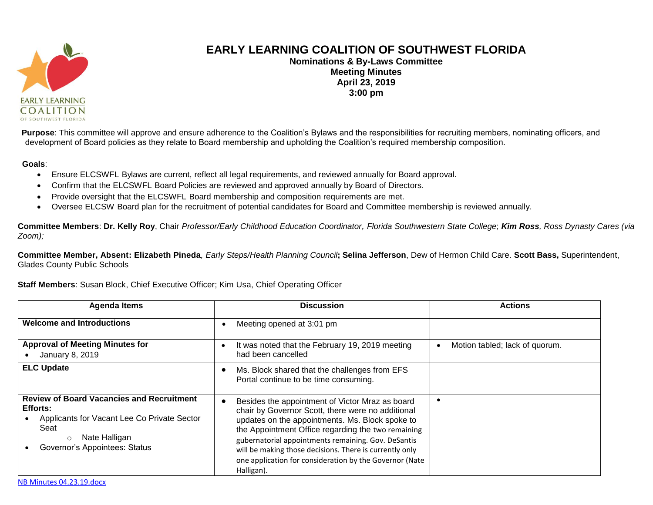

## **EARLY LEARNING COALITION OF SOUTHWEST FLORIDA**

**Nominations & By-Laws Committee Meeting Minutes April 23, 2019 3:00 pm**

**Purpose**: This committee will approve and ensure adherence to the Coalition's Bylaws and the responsibilities for recruiting members, nominating officers, and development of Board policies as they relate to Board membership and upholding the Coalition's required membership composition.

## **Goals**:

- Ensure ELCSWFL Bylaws are current, reflect all legal requirements, and reviewed annually for Board approval.
- Confirm that the ELCSWFL Board Policies are reviewed and approved annually by Board of Directors.
- Provide oversight that the ELCSWFL Board membership and composition requirements are met.
- Oversee ELCSW Board plan for the recruitment of potential candidates for Board and Committee membership is reviewed annually.

Committee Members: Dr. Kelly Roy, Chair Professor/Early Childhood Education Coordinator, Florida Southwestern State College; Kim Ross, Ross Dynasty Cares (via *Zoom);*

**Committee Member, Absent: Elizabeth Pineda***, Early Steps/Health Planning Council***; Selina Jefferson**, Dew of Hermon Child Care. **Scott Bass,** Superintendent, Glades County Public Schools

## **Staff Members**: Susan Block, Chief Executive Officer; Kim Usa, Chief Operating Officer

| <b>Agenda Items</b>                                                                                                                                                              | <b>Discussion</b>                                                                                                                                                                                                                                                                                                                                                                                        | <b>Actions</b>                 |
|----------------------------------------------------------------------------------------------------------------------------------------------------------------------------------|----------------------------------------------------------------------------------------------------------------------------------------------------------------------------------------------------------------------------------------------------------------------------------------------------------------------------------------------------------------------------------------------------------|--------------------------------|
| <b>Welcome and Introductions</b>                                                                                                                                                 | Meeting opened at 3:01 pm                                                                                                                                                                                                                                                                                                                                                                                |                                |
| <b>Approval of Meeting Minutes for</b><br>January 8, 2019                                                                                                                        | It was noted that the February 19, 2019 meeting<br>$\bullet$<br>had been cancelled                                                                                                                                                                                                                                                                                                                       | Motion tabled; lack of quorum. |
| <b>ELC Update</b>                                                                                                                                                                | Ms. Block shared that the challenges from EFS<br>Portal continue to be time consuming.                                                                                                                                                                                                                                                                                                                   |                                |
| <b>Review of Board Vacancies and Recruitment</b><br>Efforts:<br>Applicants for Vacant Lee Co Private Sector<br>Seat<br>Nate Halligan<br>$\circ$<br>Governor's Appointees: Status | Besides the appointment of Victor Mraz as board<br>chair by Governor Scott, there were no additional<br>updates on the appointments. Ms. Block spoke to<br>the Appointment Office regarding the two remaining<br>gubernatorial appointments remaining. Gov. DeSantis<br>will be making those decisions. There is currently only<br>one application for consideration by the Governor (Nate<br>Halligan). |                                |